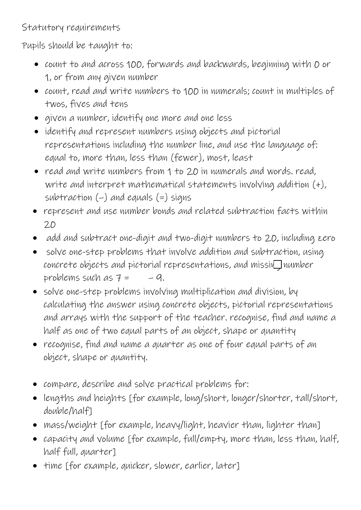Statutory requirements

Pupils should be taught to:

- count to and across 100, forwards and backwards, beginning with 0 or 1, or from any given number
- count, read and write numbers to 100 in numerals; count in multiples of twos, fives and tens
- given a number, identify one more and one less
- identify and represent numbers using objects and pictorial representations including the number line, and use the language of: equal to, more than, less than (fewer), most, least
- read and write numbers from 1 to 20 in numerals and words. read, write and interpret mathematical statements involving addition (+), subtraction  $(-)$  and equals  $(=)$  signs
- represent and use number bonds and related subtraction facts within 20
- add and subtract one-digit and two-digit numbers to 20, including zero
- solve one-step problems that involve addition and subtraction, using  $concrete$  objects and pictorial representations, and missing number problems such as  $7 = -9$ .
- solve one-step problems involving multiplication and division, by calculating the answer using concrete objects, pictorial representations and arrays with the support of the teacher. recognise, find and name a half as one of two equal parts of an object, shape or quantity
- recognise, find and name a quarter as one of four equal parts of an object, shape or quantity.
- compare, describe and solve practical problems for:
- lengths and heights [for example, long/short, longer/shorter, tall/short, double/half]
- mass/weight [for example, heavy/light, heavier than, lighter than]
- capacity and volume [for example, full/empty, more than, less than, half, half full, quarter]
- time [for example, quicker, slower, earlier, later]